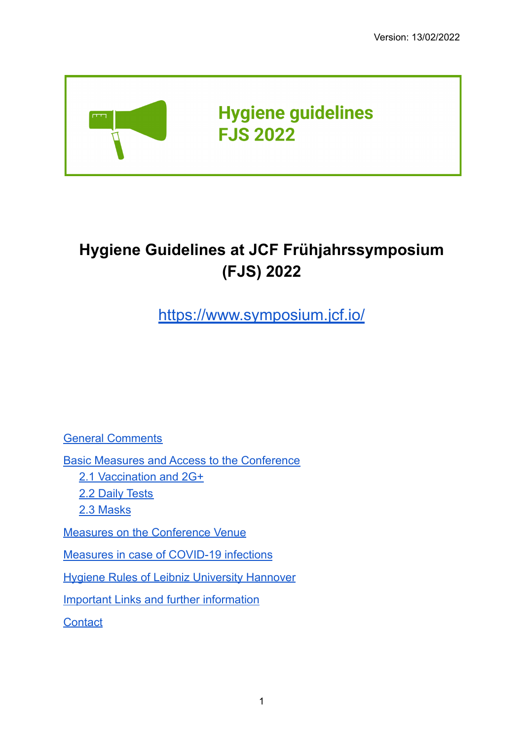

# **Hygiene Guidelines at JCF Frühjahrssymposium (FJS) 2022**

<https://www.symposium.jcf.io/>

General [Comments](#page-1-0)

Basic Measures and Access to the [Conference](#page-1-1)

2.1 [Vaccination](#page-1-2) and 2G+

2.2 Daily [Tests](#page-2-0)

2.3 [Masks](#page-3-0)

Measures on the [Conference](#page-3-1) Venue

Measures in case of [COVID-19](#page-4-0) infections

Hygiene Rules of Leibniz [University](#page-4-1) Hannover

Important Links and further [information](#page-5-0)

**[Contact](#page-5-1)**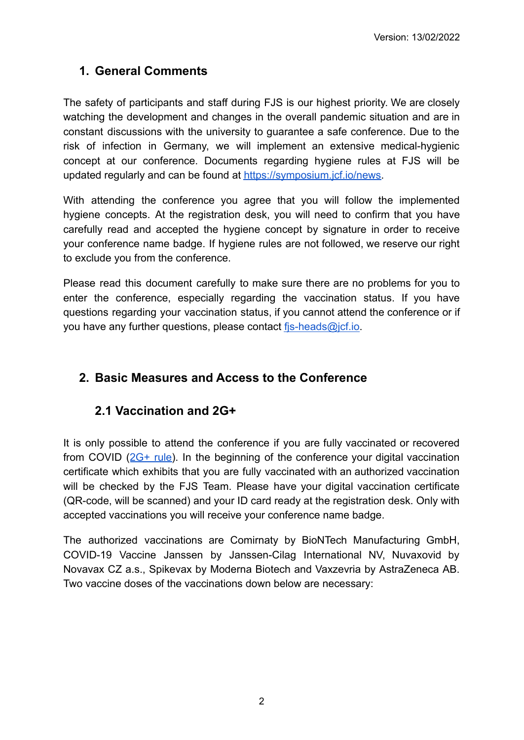## <span id="page-1-0"></span>**1. General Comments**

The safety of participants and staff during FJS is our highest priority. We are closely watching the development and changes in the overall pandemic situation and are in constant discussions with the university to guarantee a safe conference. Due to the risk of infection in Germany, we will implement an extensive medical-hygienic concept at our conference. Documents regarding hygiene rules at FJS will be updated regularly and can be found at [https://symposium.jcf.io/news.](https://symposium.jcf.io/news)

With attending the conference you agree that you will follow the implemented hygiene concepts. At the registration desk, you will need to confirm that you have carefully read and accepted the hygiene concept by signature in order to receive your conference name badge. If hygiene rules are not followed, we reserve our right to exclude you from the conference.

Please read this document carefully to make sure there are no problems for you to enter the conference, especially regarding the vaccination status. If you have questions regarding your vaccination status, if you cannot attend the conference or if you have any further questions, please contact [fjs-heads@jcf.io](mailto:fjs-heads@jcf.io).

## <span id="page-1-1"></span>**2. Basic Measures and Access to the Conference**

## <span id="page-1-2"></span>**2.1 Vaccination and 2G+**

It is only possible to attend the conference if you are fully vaccinated or recovered from COVID  $(2G+ rule)$  $(2G+ rule)$  $(2G+ rule)$ . In the beginning of the conference your digital vaccination certificate which exhibits that you are fully vaccinated with an authorized vaccination will be checked by the FJS Team. Please have your digital vaccination certificate (QR-code, will be scanned) and your ID card ready at the registration desk. Only with accepted vaccinations you will receive your conference name badge.

The authorized vaccinations are Comirnaty by BioNTech Manufacturing GmbH, COVID-19 Vaccine Janssen by Janssen-Cilag International NV, Nuvaxovid by Novavax CZ a.s., Spikevax by Moderna Biotech and Vaxzevria by AstraZeneca AB. Two vaccine doses of the vaccinations down below are necessary: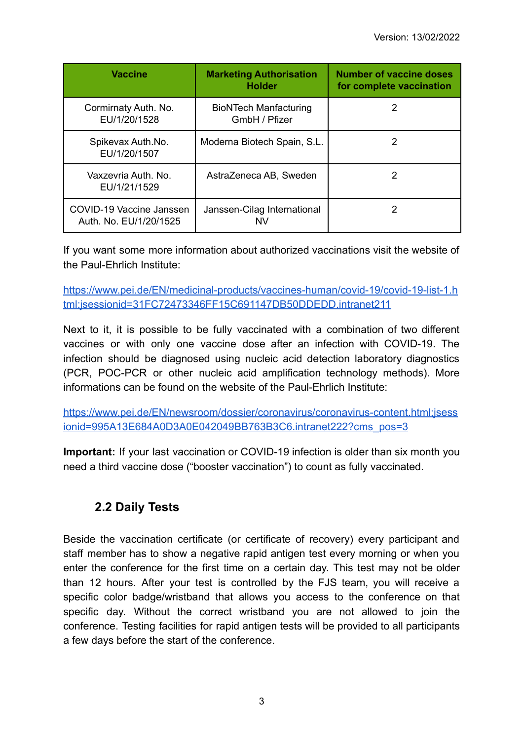| <b>Vaccine</b>                                     | <b>Marketing Authorisation</b><br><b>Holder</b> | <b>Number of vaccine doses</b><br>for complete vaccination |
|----------------------------------------------------|-------------------------------------------------|------------------------------------------------------------|
| Cormirnaty Auth. No.<br>EU/1/20/1528               | <b>BioNTech Manfacturing</b><br>GmbH / Pfizer   | 2                                                          |
| Spikevax Auth.No.<br>EU/1/20/1507                  | Moderna Biotech Spain, S.L.                     |                                                            |
| Vaxzevria Auth, No.<br>EU/1/21/1529                | AstraZeneca AB, Sweden                          | 2                                                          |
| COVID-19 Vaccine Janssen<br>Auth. No. EU/1/20/1525 | Janssen-Cilag International                     |                                                            |

If you want some more information about authorized vaccinations visit the website of the Paul-Ehrlich Institute:

[https://www.pei.de/EN/medicinal-products/vaccines-human/covid-19/covid-19-list-1.h](https://www.pei.de/EN/medicinal-products/vaccines-human/covid-19/covid-19-list-1.html;jsessionid=31FC72473346FF15C691147DB50DDEDD.intranet211) [tml;jsessionid=31FC72473346FF15C691147DB50DDEDD.intranet211](https://www.pei.de/EN/medicinal-products/vaccines-human/covid-19/covid-19-list-1.html;jsessionid=31FC72473346FF15C691147DB50DDEDD.intranet211)

Next to it, it is possible to be fully vaccinated with a combination of two different vaccines or with only one vaccine dose after an infection with COVID-19. The infection should be diagnosed using nucleic acid detection laboratory diagnostics (PCR, POC-PCR or other nucleic acid amplification technology methods). More informations can be found on the website of the Paul-Ehrlich Institute:

[https://www.pei.de/EN/newsroom/dossier/coronavirus/coronavirus-content.html;jsess](https://www.pei.de/EN/newsroom/dossier/coronavirus/coronavirus-content.html;jsessionid=995A13E684A0D3A0E042049BB763B3C6.intranet222?cms_pos=3) [ionid=995A13E684A0D3A0E042049BB763B3C6.intranet222?cms\\_pos=3](https://www.pei.de/EN/newsroom/dossier/coronavirus/coronavirus-content.html;jsessionid=995A13E684A0D3A0E042049BB763B3C6.intranet222?cms_pos=3)

**Important:** If your last vaccination or COVID-19 infection is older than six month you need a third vaccine dose ("booster vaccination") to count as fully vaccinated.

## <span id="page-2-0"></span>**2.2 Daily Tests**

Beside the vaccination certificate (or certificate of recovery) every participant and staff member has to show a negative rapid antigen test every morning or when you enter the conference for the first time on a certain day. This test may not be older than 12 hours. After your test is controlled by the FJS team, you will receive a specific color badge/wristband that allows you access to the conference on that specific day. Without the correct wristband you are not allowed to join the conference. Testing facilities for rapid antigen tests will be provided to all participants a few days before the start of the conference.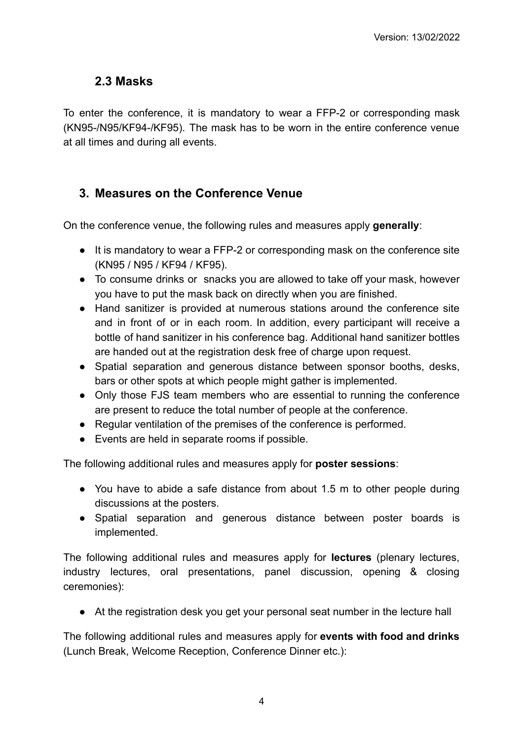#### <span id="page-3-0"></span>**2.3 Masks**

To enter the conference, it is mandatory to wear a FFP-2 or corresponding mask (KN95-/N95/KF94-/KF95). The mask has to be worn in the entire conference venue at all times and during all events.

#### <span id="page-3-1"></span>**3. Measures on the Conference Venue**

On the conference venue, the following rules and measures apply **generally**:

- It is mandatory to wear a FFP-2 or corresponding mask on the conference site (KN95 / N95 / KF94 / KF95).
- To consume drinks or snacks you are allowed to take off your mask, however you have to put the mask back on directly when you are finished.
- Hand sanitizer is provided at numerous stations around the conference site and in front of or in each room. In addition, every participant will receive a bottle of hand sanitizer in his conference bag. Additional hand sanitizer bottles are handed out at the registration desk free of charge upon request.
- Spatial separation and generous distance between sponsor booths, desks, bars or other spots at which people might gather is implemented.
- Only those FJS team members who are essential to running the conference are present to reduce the total number of people at the conference.
- Regular ventilation of the premises of the conference is performed.
- Events are held in separate rooms if possible.

The following additional rules and measures apply for **poster sessions**:

- You have to abide a safe distance from about 1.5 m to other people during discussions at the posters.
- Spatial separation and generous distance between poster boards is implemented.

The following additional rules and measures apply for **lectures** (plenary lectures, industry lectures, oral presentations, panel discussion, opening & closing ceremonies):

● At the registration desk you get your personal seat number in the lecture hall

The following additional rules and measures apply for **events with food and drinks** (Lunch Break, Welcome Reception, Conference Dinner etc.):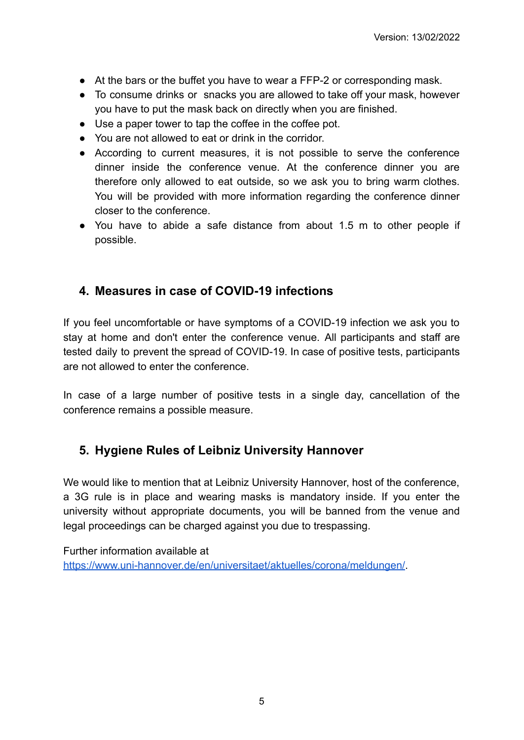- At the bars or the buffet you have to wear a FFP-2 or corresponding mask.
- To consume drinks or snacks you are allowed to take off your mask, however you have to put the mask back on directly when you are finished.
- Use a paper tower to tap the coffee in the coffee pot.
- You are not allowed to eat or drink in the corridor.
- According to current measures, it is not possible to serve the conference dinner inside the conference venue. At the conference dinner you are therefore only allowed to eat outside, so we ask you to bring warm clothes. You will be provided with more information regarding the conference dinner closer to the conference.
- You have to abide a safe distance from about 1.5 m to other people if possible.

#### <span id="page-4-0"></span>**4. Measures in case of COVID-19 infections**

If you feel uncomfortable or have symptoms of a COVID-19 infection we ask you to stay at home and don't enter the conference venue. All participants and staff are tested daily to prevent the spread of COVID-19. In case of positive tests, participants are not allowed to enter the conference.

In case of a large number of positive tests in a single day, cancellation of the conference remains a possible measure.

## <span id="page-4-1"></span>**5. Hygiene Rules of Leibniz University Hannover**

We would like to mention that at Leibniz University Hannover, host of the conference, a 3G rule is in place and wearing masks is mandatory inside. If you enter the university without appropriate documents, you will be banned from the venue and legal proceedings can be charged against you due to trespassing.

Further information available at [https://www.uni-hannover.de/en/universitaet/aktuelles/corona/meldungen/.](https://www.uni-hannover.de/en/universitaet/aktuelles/corona/meldungen/)